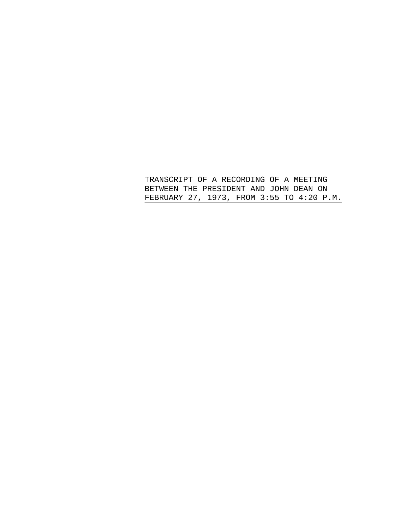TRANSCRIPT OF A RECORDING OF A MEETING BETWEEN THE PRESIDENT AND JOHN DEAN ON FEBRUARY 27, 1973, FROM 3:55 TO 4:20 P.M.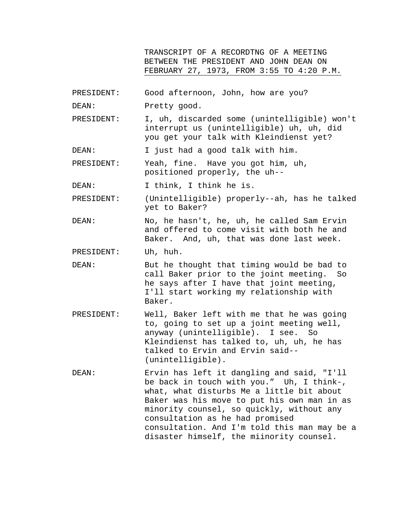TRANSCRIPT OF A RECORDTNG OF A MEETING BETWEEN THE PRESIDENT AND JOHN DEAN ON FEBRUARY 27, 1973, FROM 3:55 TO 4:20 P.M.

- PRESIDENT: Good afternoon, John, how are you?
- DEAN: Pretty good.

PRESIDENT: I, uh, discarded some (unintelligible) won't interrupt us (unintelligible) uh, uh, did you get your talk with Kleindienst yet?

DEAN: I just had a good talk with him.

PRESIDENT: Yeah, fine. Have you got him, uh, positioned properly, the uh--

DEAN: I think, I think he is.

PRESIDENT: (Unintelligible) properly--ah, has he talked yet to Baker?

DEAN: No, he hasn't, he, uh, he called Sam Ervin and offered to come visit with both he and Baker. And, uh, that was done last week.

PRESIDENT: Uh, huh.

DEAN: But he thought that timing would be bad to call Baker prior to the joint meeting. So he says after I have that joint meeting, I'll start working my relationship with Baker.

- PRESIDENT: Well, Baker left with me that he was going to, going to set up a joint meeting well, anyway (unintelligible). I see. So Kleindienst has talked to, uh, uh, he has talked to Ervin and Ervin said-- (unintelligible).
- DEAN: Ervin has left it dangling and said, "I'll be back in touch with you." Uh, I think-, what, what disturbs Me a little bit about Baker was his move to put his own man in as minority counsel, so quickly, without any consultation as he had promised consultation. And I'm told this man may be a disaster himself, the miinority counsel.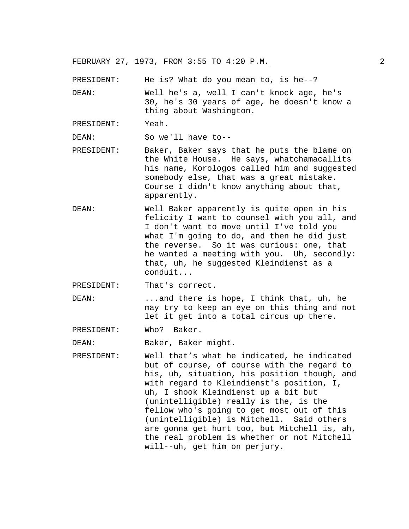PRESIDENT: He is? What do you mean to, is he--?

DEAN: Well he's a, well I can't knock age, he's 30, he's 30 years of age, he doesn't know a thing about Washington.

PRESIDENT: Yeah.

DEAN: So we'll have to--

- PRESIDENT: Baker, Baker says that he puts the blame on the White House. He says, whatchamacallits his name, Korologos called him and suggested somebody else, that was a great mistake. Course I didn't know anything about that, apparently.
- DEAN: Well Baker apparently is quite open in his felicity I want to counsel with you all, and I don't want to move until I've told you what I'm going to do, and then he did just the reverse. So it was curious: one, that he wanted a meeting with you. Uh, secondly: that, uh, he suggested Kleindienst as a conduit...

PRESIDENT: That's correct.

DEAN: ...and there is hope, I think that, uh, he may try to keep an eye on this thing and not let it get into a total circus up there.

PRESIDENT: Who? Baker.

DEAN: Baker, Baker might.

PRESIDENT: Well that's what he indicated, he indicated but of course, of course with the regard to his, uh, situation, his position though, and with regard to Kleindienst's position, I, uh, I shook Kleindienst up a bit but (unintelligible) really is the, is the fellow who's going to get most out of this (unintelligible) is Mitchell. Said others are gonna get hurt too, but Mitchell is, ah, the real problem is whether or not Mitchell will--uh, get him on perjury.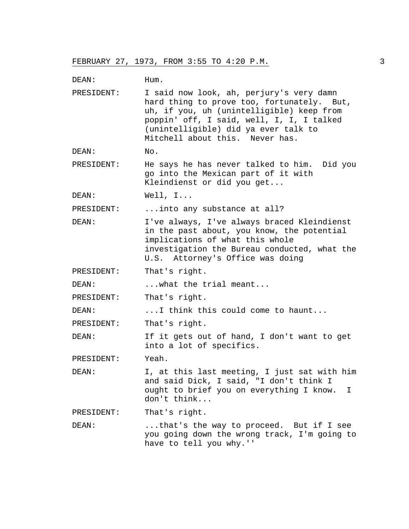DEAN: Hum. PRESIDENT: I said now look, ah, perjury's very damn hard thing to prove too, fortunately. But, uh, if you, uh (unintelligible) keep from poppin' off, I said, well, I, I, I talked (unintelligible) did ya ever talk to Mitchell about this. Never has. DEAN: No. PRESIDENT: He says he has never talked to him. Did you go into the Mexican part of it with Kleindienst or did you get... DEAN: Well, I... PRESIDENT: ...into any substance at all? DEAN: I've always, I've always braced Kleindienst in the past about, you know, the potential implications of what this whole investigation the Bureau conducted, what the U.S. Attorney's Office was doing PRESIDENT: That's right. DEAN: ... what the trial meant... PRESIDENT: That's right. DEAN: ...I think this could come to haunt... PRESIDENT: That's right. DEAN: If it gets out of hand, I don't want to get into a lot of specifics. PRESIDENT: Yeah. DEAN: I, at this last meeting, I just sat with him and said Dick, I said, "I don't think I ought to brief you on everything I know. I don't think... PRESIDENT: That's right. DEAN: ...that's the way to proceed. But if I see you going down the wrong track, I'm going to have to tell you why.''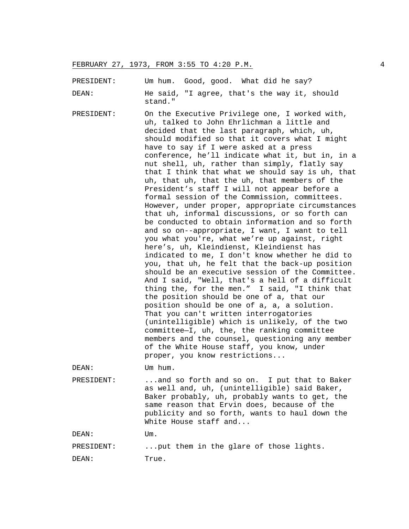PRESIDENT: Um hum. Good, good. What did he say? DEAN: He said, "I agree, that's the way it, should stand."

PRESIDENT: On the Executive Privilege one, I worked with, uh, talked to John Ehrlichman a little and decided that the last paragraph, which, uh, should modified so that it covers what I might have to say if I were asked at a press conference, he'll indicate what it, but in, in a nut shell, uh, rather than simply, flatly say that I think that what we should say is uh, that uh, that uh, that the uh, that members of the President's staff I will not appear before a formal session of the Commission, committees. However, under proper, appropriate circumstances that uh, informal discussions, or so forth can be conducted to obtain information and so forth and so on--appropriate, I want, I want to tell you what you're, what we're up against, right here's, uh, Kleindienst, Kleindienst has indicated to me, I don't know whether he did to you, that uh, he felt that the back-up position should be an executive session of the Committee. And I said, "Well, that's a hell of a difficult thing the, for the men." I said, "I think that the position should be one of a, that our position should be one of a, a, a solution. That you can't written interrogatories (unintelligible) which is unlikely, of the two committee—I, uh, the, the ranking committee members and the counsel, questioning any member of the White House staff, you know, under proper, you know restrictions... DEAN: Um hum.

PRESIDENT: ...and so forth and so on. I put that to Baker as well and, uh, (unintelligible) said Baker, Baker probably, uh, probably wants to get, the same reason that Ervin does, because of the publicity and so forth, wants to haul down the White House staff and...

DEAN: Um.

PRESIDENT: ...put them in the glare of those lights.

DEAN: True.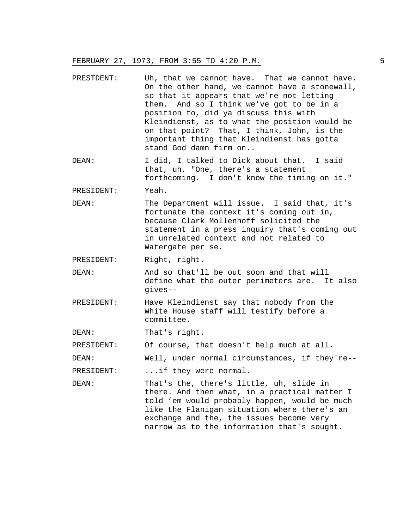- PRESTDENT: Uh, that we cannot have. That we cannot have. On the other hand, we cannot have a stonewall, so that it appears that we're not letting them. And so I think we've got to be in a position to, did ya discuss this with Kleindienst, as to what the position would be on that point? That, I think, John, is the important thing that Kleindienst has gotta stand God damn firm on..
- DEAN: I did, I talked to Dick about that. I said that, uh, "One, there's a statement forthcoming. I don't know the timing on it."

PRESIDENT: Yeah.

DEAN: The Department will issue. I said that, it's fortunate the context it's coming out in, because Clark Mollenhoff solicited the statement in a press inquiry that's coming out in unrelated context and not related to Watergate per se.

PRESIDENT: Right, right.

DEAN: And so that'll be out soon and that will define what the outer perimeters are. It also gives--

PRESIDENT: Have Kleindienst say that nobody from the White House staff will testify before a committee.

DEAN: That's right.

PRESIDENT: Of course, that doesn't help much at all.

DEAN: Well, under normal circumstances, if they're--

PRESIDENT: ...if they were normal.

DEAN: That's the, there's little, uh, slide in there. And then what, in a practical matter I told 'em would probably happen, would be much like the Flanigan situation where there's an exchange and the, the issues become very narrow as to the information that's sought.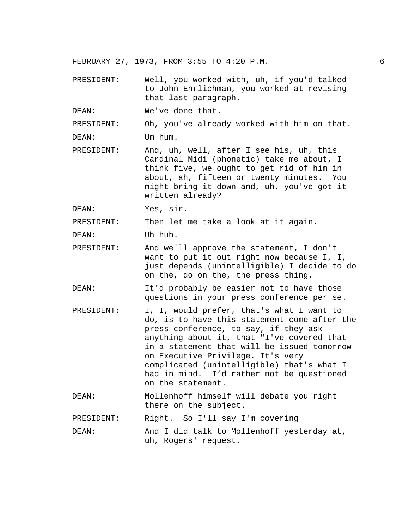- PRESIDENT: Well, you worked with, uh, if you'd talked to John Ehrlichman, you worked at revising that last paragraph.
- DEAN: We've done that.

PRESIDENT: Oh, you've already worked with him on that.

DEAN: Um hum.

PRESIDENT: And, uh, well, after I see his, uh, this Cardinal Midi (phonetic) take me about, I think five, we ought to get rid of him in about, ah, fifteen or twenty minutes. You might bring it down and, uh, you've got it written already?

DEAN: Yes, sir.

PRESIDENT: Then let me take a look at it again.

DEAN: Uh huh.

- PRESIDENT: And we'll approve the statement, I don't want to put it out right now because I, I, just depends (unintelligible) I decide to do on the, do on the, the press thing.
- DEAN: It'd probably be easier not to have those questions in your press conference per se.
- PRESIDENT: I, I, would prefer, that's what I want to do, is to have this statement come after the press conference, to say, if they ask anything about it, that "I've covered that in a statement that will be issued tomorrow on Executive Privilege. It's very complicated (unintelligible) that's what I had in mind. I'd rather not be questioned on the statement.
- DEAN: Mollenhoff himself will debate you right there on the subject.

PRESIDENT: Right. So I'll say I'm covering

DEAN: And I did talk to Mollenhoff yesterday at, uh, Rogers' request.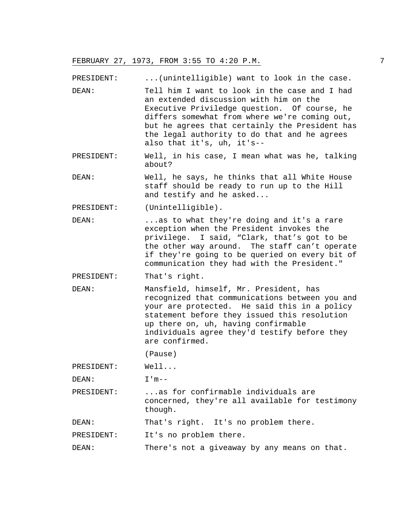PRESIDENT: ...(unintelligible) want to look in the case.

- DEAN: Tell him I want to look in the case and I had an extended discussion with him on the Executive Priviledge question. Of course, he differs somewhat from where we're coming out, but he agrees that certainly the President has the legal authority to do that and he agrees also that it's, uh, it's--
- PRESIDENT: Well, in his case, I mean what was he, talking about?
- DEAN: Well, he says, he thinks that all White House staff should be ready to run up to the Hill and testify and he asked...
- PRESIDENT: (Unintelligible).
- DEAN: ...as to what they're doing and it's a rare exception when the President invokes the privilege. I said, "Clark, that's got to be the other way around. The staff can't operate if they're going to be queried on every bit of communication they had with the President."
- PRESIDENT: That's right.
- DEAN: Mansfield, himself, Mr. President, has recognized that communications between you and your are protected. He said this in a policy statement before they issued this resolution up there on, uh, having confirmable individuals agree they'd testify before they are confirmed.

(Pause)

PRESIDENT: Well...

DEAN: I'm--

PRESIDENT: ...as for confirmable individuals are concerned, they're all available for testimony though.

DEAN: That's right. It's no problem there.

PRESIDENT: It's no problem there.

DEAN: There's not a giveaway by any means on that.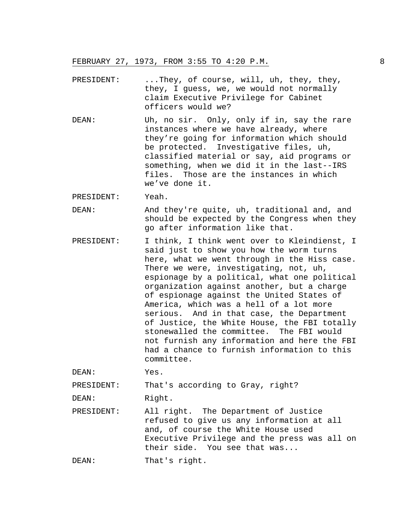- PRESIDENT: ...They, of course, will, uh, they, they, they, I guess, we, we would not normally claim Executive Privilege for Cabinet officers would we?
- DEAN: Uh, no sir. Only, only if in, say the rare instances where we have already, where they're going for information which should be protected. Investigative files, uh, classified material or say, aid programs or something, when we did it in the last--IRS files. Those are the instances in which we've done it.

PRESIDENT: Yeah.

- DEAN: And they're quite, uh, traditional and, and should be expected by the Congress when they go after information like that.
- PRESIDENT: I think, I think went over to Kleindienst, I said just to show you how the worm turns here, what we went through in the Hiss case. There we were, investigating, not, uh, espionage by a political, what one political organization against another, but a charge of espionage against the United States of America, which was a hell of a lot more serious. And in that case, the Department of Justice, the White House, the FBI totally stonewalled the committee. The FBI would not furnish any information and here the FBI had a chance to furnish information to this committee.

DEAN: Yes.

PRESIDENT: That's according to Gray, right?

DEAN: Right.

PRESIDENT: All right. The Department of Justice refused to give us any information at all and, of course the White House used Executive Privilege and the press was all on their side. You see that was...

DEAN: That's right.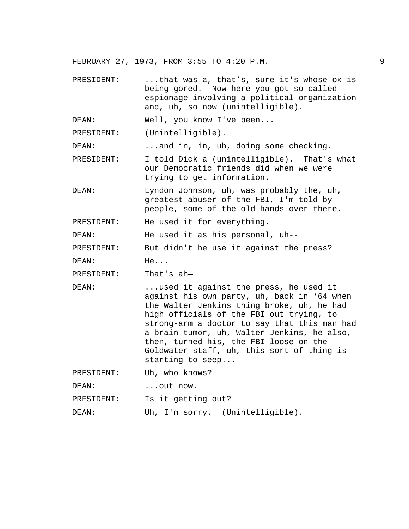PRESIDENT: ...that was a, that's, sure it's whose ox is being gored. Now here you got so-called espionage involving a political organization and, uh, so now (unintelligible).

DEAN: Well, you know I've been...

PRESIDENT: (Unintelligible).

DEAN: ...and in, in, uh, doing some checking.

- PRESIDENT: I told Dick a (unintelligible). That's what our Democratic friends did when we were trying to get information.
- DEAN: Lyndon Johnson, uh, was probably the, uh, greatest abuser of the FBI, I'm told by people, some of the old hands over there.

PRESIDENT: He used it for everything.

DEAN: He used it as his personal, uh--

PRESIDENT: But didn't he use it against the press?

DEAN: He...

PRESIDENT: That's ah—

DEAN: ...used it against the press, he used it against his own party, uh, back in '64 when the Walter Jenkins thing broke, uh, he had high officials of the FBI out trying, to strong-arm a doctor to say that this man had a brain tumor, uh, Walter Jenkins, he also, then, turned his, the FBI loose on the Goldwater staff, uh, this sort of thing is starting to seep...

PRESIDENT: Uh, who knows?

DEAN: ...out now.

PRESIDENT: Is it getting out?

DEAN: Uh, I'm sorry. (Unintelligible).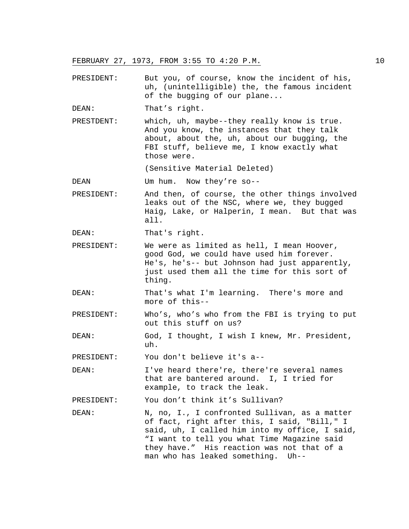- PRESIDENT: But you, of course, know the incident of his, uh, (unintelligible) the, the famous incident of the bugging of our plane...
- DEAN: That's right.
- PRESTDENT: which, uh, maybe--they really know is true. And you know, the instances that they talk about, about the, uh, about our bugging, the FBI stuff, believe me, I know exactly what those were.

(Sensitive Material Deleted)

DEAN Um hum. Now they're so--

PRESIDENT: And then, of course, the other things involved leaks out of the NSC, where we, they bugged Haig, Lake, or Halperin, I mean. But that was all.

DEAN: That's right.

- PRESIDENT: We were as limited as hell, I mean Hoover, good God, we could have used him forever. He's, he's-- but Johnson had just apparently, just used them all the time for this sort of thing.
- DEAN: That's what I'm learning. There's more and more of this--
- PRESIDENT: Who's, who's who from the FBI is trying to put out this stuff on us?
- DEAN: God, I thought, I wish I knew, Mr. President, uh.

PRESIDENT: You don't believe it's a--

DEAN: I've heard there're, there're several names that are bantered around. I, I tried for example, to track the leak.

PRESIDENT: You don't think it's Sullivan?

DEAN: N, no, I., I confronted Sullivan, as a matter of fact, right after this, I said, "Bill," I said, uh, I called him into my office, I said, "I want to tell you what Time Magazine said they have." His reaction was not that of a man who has leaked something. Uh--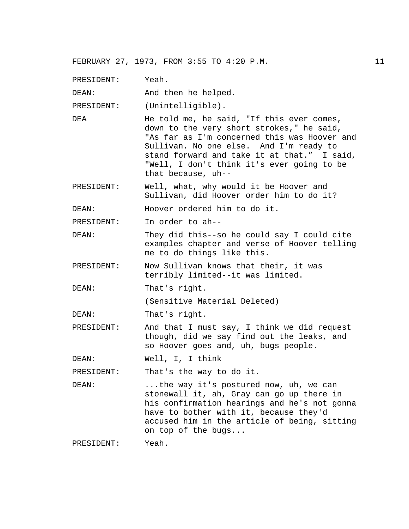PRESIDENT: Yeah.

DEAN: And then he helped.

PRESIDENT: (Unintelligible).

- DEA He told me, he said, "If this ever comes, down to the very short strokes," he said, "As far as I'm concerned this was Hoover and Sullivan. No one else. And I'm ready to stand forward and take it at that." I said, "Well, I don't think it's ever going to be that because, uh--
- PRESIDENT: Well, what, why would it be Hoover and Sullivan, did Hoover order him to do it?

DEAN: Hoover ordered him to do it.

PRESIDENT: In order to ah--

- DEAN: They did this--so he could say I could cite examples chapter and verse of Hoover telling me to do things like this.
- PRESIDENT: Now Sullivan knows that their, it was terribly limited--it was limited.
- DEAN: That's right.

(Sensitive Material Deleted)

- DEAN: That's right.
- PRESIDENT: And that I must say, I think we did request though, did we say find out the leaks, and so Hoover goes and, uh, bugs people.

DEAN: Well, I, I think

PRESIDENT: That's the way to do it.

DEAN: ...the way it's postured now, uh, we can stonewall it, ah, Gray can go up there in his confirmation hearings and he's not gonna have to bother with it, because they'd accused him in the article of being, sitting on top of the bugs...

PRESIDENT: Yeah.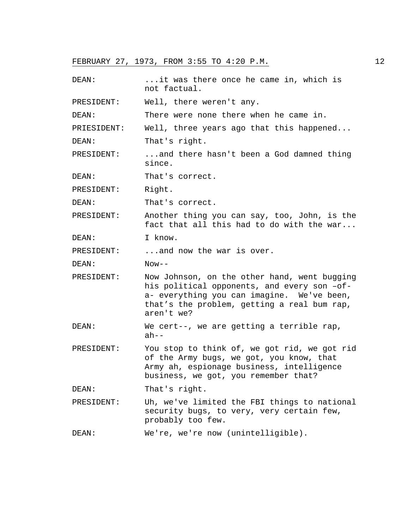DEAN: ...it was there once he came in, which is not factual. PRESIDENT: Well, there weren't any. DEAN: There were none there when he came in. PRIESIDENT: Well, three years ago that this happened... DEAN: That's right. PRESIDENT: ...and there hasn't been a God damned thing since. DEAN: That's correct. PRESIDENT: Right. DEAN: That's correct. PRESIDENT: Another thing you can say, too, John, is the fact that all this had to do with the war... DEAN: I know. PRESIDENT: ...and now the war is over. DEAN: Now-- PRESIDENT: Now Johnson, on the other hand, went bugging his political opponents, and every son –ofa- everything you can imagine. We've been, that's the problem, getting a real bum rap, aren't we? DEAN: We cert--, we are getting a terrible rap,  $ah--$ PRESIDENT: You stop to think of, we got rid, we got rid of the Army bugs, we got, you know, that Army ah, espionage business, intelligence business, we got, you remember that? DEAN: That's right. PRESIDENT: Uh, we've limited the FBI things to national security bugs, to very, very certain few, probably too few. DEAN: We're, we're now (unintelligible).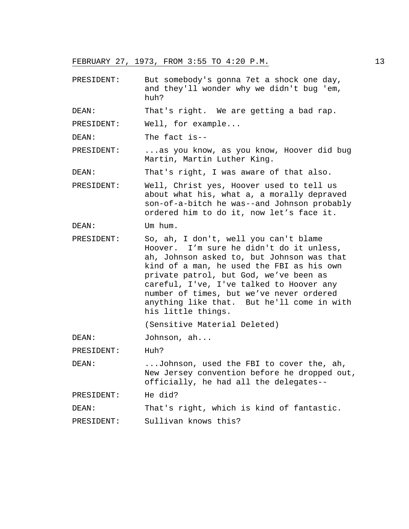PRESIDENT: But somebody's gonna 7et a shock one day, and they'll wonder why we didn't bug 'em, huh?

DEAN: That's right. We are getting a bad rap.

PRESIDENT: Well, for example...

DEAN: The fact is--

PRESIDENT: ...as you know, as you know, Hoover did bug Martin, Martin Luther King.

DEAN: That's right, I was aware of that also.

PRESIDENT: Well, Christ yes, Hoover used to tell us about what his, what a, a morally depraved son-of-a-bitch he was--and Johnson probably ordered him to do it, now let's face it.

DEAN: Um hum.

PRESIDENT: So, ah, I don't, well you can't blame Hoover. I'm sure he didn't do it unless, ah, Johnson asked to, but Johnson was that kind of a man, he used the FBI as his own private patrol, but God, we've been as careful, I've, I've talked to Hoover any number of times, but we've never ordered anything like that. But he'll come in with his little things.

(Sensitive Material Deleted)

DEAN: Johnson, ah...

PRESIDENT: Huh?

DEAN: ...Johnson, used the FBI to cover the, ah, New Jersey convention before he dropped out, officially, he had all the delegates--

PRESIDENT: He did?

DEAN: That's right, which is kind of fantastic.

PRESIDENT: Sullivan knows this?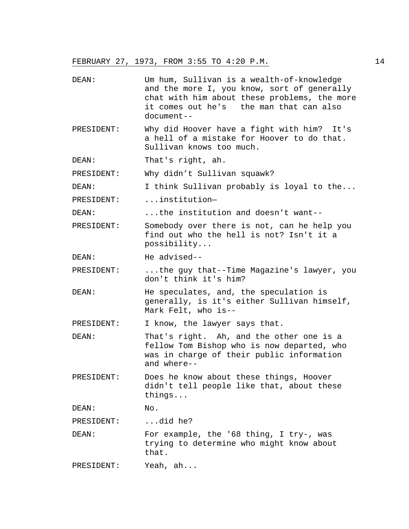DEAN: Um hum, Sullivan is a wealth-of-knowledge and the more I, you know, sort of generally chat with him about these problems, the more it comes out he's the man that can also document-- PRESIDENT: Why did Hoover have a fight with him? It's a hell of a mistake for Hoover to do that. Sullivan knows too much. DEAN: That's right, ah. PRESIDENT: Why didn't Sullivan squawk? DEAN: I think Sullivan probably is loyal to the... PRESIDENT: ...institution— DEAN: ...the institution and doesn't want-- PRESIDENT: Somebody over there is not, can he help you find out who the hell is not? Isn't it a possibility... DEAN: He advised-- PRESIDENT: ...the guy that--Time Magazine's lawyer, you don't think it's him? DEAN: He speculates, and, the speculation is generally, is it's either Sullivan himself, Mark Felt, who is-- PRESIDENT: I know, the lawyer says that. DEAN: That's right. Ah, and the other one is a fellow Tom Bishop who is now departed, who was in charge of their public information and where-- PRESIDENT: Does he know about these things, Hoover didn't tell people like that, about these things... DEAN: No. PRESIDENT: ...did he? DEAN: For example, the '68 thing, I try-, was trying to determine who might know about that. PRESIDENT: Yeah, ah...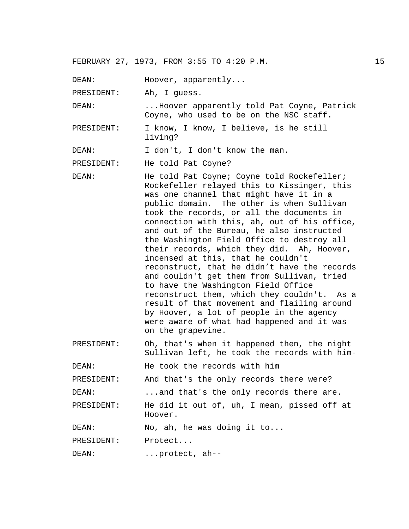DEAN: Hoover, apparently...

PRESIDENT: Ah, I guess.

DEAN: ...Hoover apparently told Pat Coyne, Patrick Coyne, who used to be on the NSC staff.

PRESIDENT: I know, I know, I believe, is he still living?

DEAN: I don't, I don't know the man.

PRESIDENT: He told Pat Coyne?

DEAN: He told Pat Coyne; Coyne told Rockefeller; Rockefeller relayed this to Kissinger, this was one channel that might have it in a public domain. The other is when Sullivan took the records, or all the documents in connection with this, ah, out of his office, and out of the Bureau, he also instructed the Washington Field Office to destroy all their records, which they did. Ah, Hoover, incensed at this, that he couldn't reconstruct, that he didn't have the records and couldn't get them from Sullivan, tried to have the Washington Field Office reconstruct them, which they couldn't. As a result of that movement and flailing around by Hoover, a lot of people in the agency were aware of what had happened and it was on the grapevine.

PRESIDENT: Oh, that's when it happened then, the night Sullivan left, he took the records with him-

DEAN: He took the records with him

PRESIDENT: And that's the only records there were?

DEAN: ...and that's the only records there are.

PRESIDENT: He did it out of, uh, I mean, pissed off at Hoover.

DEAN: No, ah, he was doing it to...

PRESIDENT: Protect...

DEAN: ...protect, ah--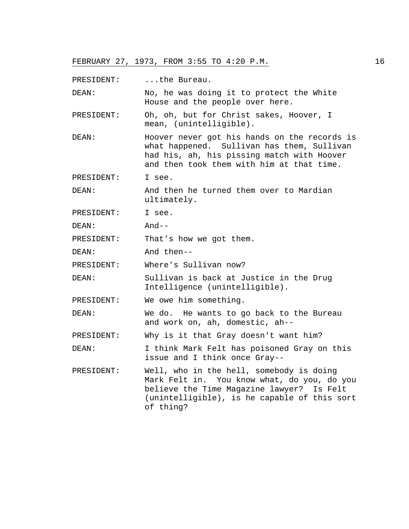PRESIDENT: ...the Bureau.

DEAN: No, he was doing it to protect the White House and the people over here.

- PRESIDENT: Oh, oh, but for Christ sakes, Hoover, I mean, (unintelligible).
- DEAN: Hoover never got his hands on the records is what happened. Sullivan has them, Sullivan had his, ah, his pissing match with Hoover and then took them with him at that time.
- PRESIDENT: I see.

DEAN: And then he turned them over to Mardian ultimately.

PRESIDENT: I see.

DEAN: And--

PRESIDENT: That's how we got them.

DEAN: And then--

PRESIDENT: Where's Sullivan now?

DEAN: Sullivan is back at Justice in the Drug Intelligence (unintelligible).

PRESIDENT: We owe him something.

DEAN: We do. He wants to go back to the Bureau and work on, ah, domestic, ah--

PRESIDENT: Why is it that Gray doesn't want him?

DEAN: I think Mark Felt has poisoned Gray on this issue and I think once Gray--

PRESIDENT: Well, who in the hell, somebody is doing Mark Felt in. You know what, do you, do you believe the Time Magazine lawyer? Is Felt (unintelligible), is he capable of this sort of thing?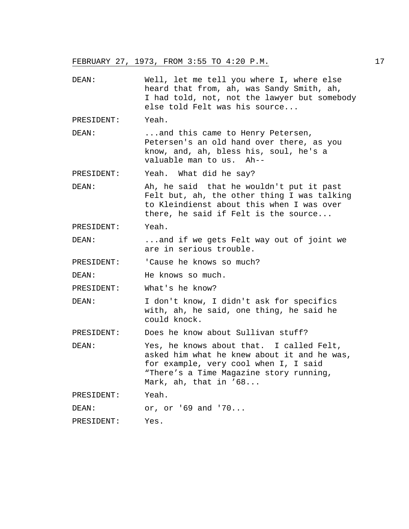| DEAN:      | Well, let me tell you where I, where else<br>heard that from, ah, was Sandy Smith, ah,<br>I had told, not, not the lawyer but somebody<br>else told Felt was his source                              |
|------------|------------------------------------------------------------------------------------------------------------------------------------------------------------------------------------------------------|
| PRESIDENT: | Yeah.                                                                                                                                                                                                |
| DEAN:      | and this came to Henry Petersen,<br>Petersen's an old hand over there, as you<br>know, and, ah, bless his, soul, he's a<br>valuable man to us. Ah--                                                  |
| PRESIDENT: | Yeah. What did he say?                                                                                                                                                                               |
| DEAN:      | Ah, he said that he wouldn't put it past<br>Felt but, ah, the other thing I was talking<br>to Kleindienst about this when I was over<br>there, he said if Felt is the source                         |
| PRESIDENT: | Yeah.                                                                                                                                                                                                |
| DEAN:      | and if we gets Felt way out of joint we<br>are in serious trouble.                                                                                                                                   |
| PRESIDENT: | 'Cause he knows so much?                                                                                                                                                                             |
| DEAN:      | He knows so much.                                                                                                                                                                                    |
| PRESIDENT: | What's he know?                                                                                                                                                                                      |
| DEAN:      | I don't know, I didn't ask for specifics<br>with, ah, he said, one thing, he said he<br>could knock.                                                                                                 |
| PRESIDENT: | Does he know about Sullivan stuff?                                                                                                                                                                   |
| DEAN:      | Yes, he knows about that. I called Felt,<br>asked him what he knew about it and he was,<br>for example, very cool when I, I said<br>"There's a Time Magazine story running,<br>Mark, ah, that in '68 |
| PRESIDENT: | Yeah.                                                                                                                                                                                                |
| DEAN:      | or, or '69 and '70                                                                                                                                                                                   |
| PRESIDENT: | Yes.                                                                                                                                                                                                 |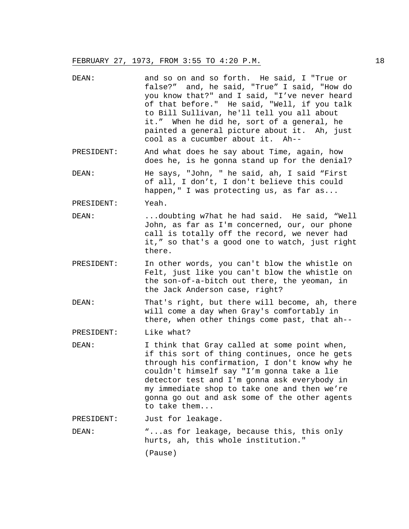- DEAN: and so on and so forth. He said, I "True or false?" and, he said, "True" I said, "How do you know that?" and I said, "I've never heard of that before." He said, "Well, if you talk to Bill Sullivan, he'll tell you all about it." When he did he, sort of a general, he painted a general picture about it. Ah, just cool as a cucumber about it. Ah--
- PRESIDENT: And what does he say about Time, again, how does he, is he gonna stand up for the denial?
- DEAN: He says, "John, " he said, ah, I said "First of all, I don't, I don't believe this could happen," I was protecting us, as far as...

PRESIDENT: Yeah.

- DEAN: ...doubting w7hat he had said. He said, "Well John, as far as I'm concerned, our, our phone call is totally off the record, we never had it," so that's a good one to watch, just right there.
- PRESIDENT: In other words, you can't blow the whistle on Felt, just like you can't blow the whistle on the son-of-a-bitch out there, the yeoman, in the Jack Anderson case, right?

DEAN: That's right, but there will become, ah, there will come a day when Gray's comfortably in there, when other things come past, that ah--

PRESIDENT: Like what?

DEAN: I think that Gray called at some point when, if this sort of thing continues, once he gets through his confirmation, I don't know why he couldn't himself say "I'm gonna take a lie detector test and I'm gonna ask everybody in my immediate shop to take one and then we're gonna go out and ask some of the other agents to take them...

PRESIDENT: Just for leakage.

DEAN: "...as for leakage, because this, this only hurts, ah, this whole institution." (Pause)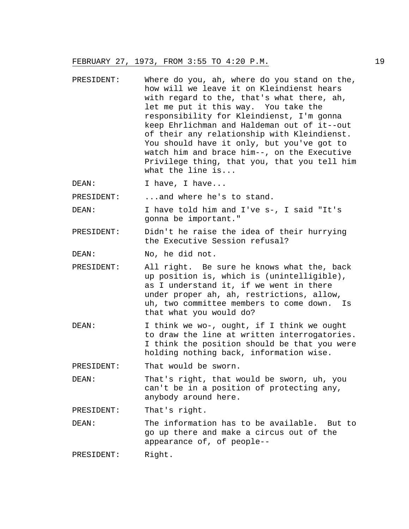- PRESIDENT: Where do you, ah, where do you stand on the, how will we leave it on Kleindienst hears with regard to the, that's what there, ah, let me put it this way. You take the responsibility for Kleindienst, I'm gonna keep Ehrlichman and Haldeman out of it--out of their any relationship with Kleindienst. You should have it only, but you've got to watch him and brace him--, on the Executive Privilege thing, that you, that you tell him what the line is...
- DEAN: I have, I have...

PRESIDENT: ...and where he's to stand.

DEAN: I have told him and I've s-, I said "It's gonna be important."

- PRESIDENT: Didn't he raise the idea of their hurrying the Executive Session refusal?
- DEAN: No, he did not.
- PRESIDENT: All right. Be sure he knows what the, back up position is, which is (unintelligible), as I understand it, if we went in there under proper ah, ah, restrictions, allow, uh, two committee members to come down. Is that what you would do?
- DEAN: I think we wo-, ought, if I think we ought to draw the line at written interrogatories. I think the position should be that you were holding nothing back, information wise.

PRESIDENT: That would be sworn.

DEAN: That's right, that would be sworn, uh, you can't be in a position of protecting any, anybody around here.

PRESIDENT: That's right.

DEAN: The information has to be available. But to go up there and make a circus out of the appearance of, of people--

PRESIDENT: Right.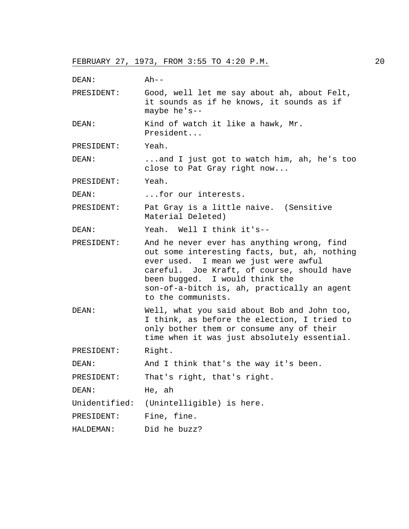| DEAN:      | $Ah--$                                                                                                                                                                                                                                                                                  |
|------------|-----------------------------------------------------------------------------------------------------------------------------------------------------------------------------------------------------------------------------------------------------------------------------------------|
| PRESIDENT: | Good, well let me say about ah, about Felt,<br>it sounds as if he knows, it sounds as if<br>maybe he's--                                                                                                                                                                                |
| DEAN:      | Kind of watch it like a hawk, Mr.<br>President                                                                                                                                                                                                                                          |
| PRESIDENT: | Yeah.                                                                                                                                                                                                                                                                                   |
| DEAN:      | and I just got to watch him, ah, he's too<br>close to Pat Gray right now                                                                                                                                                                                                                |
| PRESIDENT: | Yeah.                                                                                                                                                                                                                                                                                   |
| DEAN:      | for our interests.                                                                                                                                                                                                                                                                      |
| PRESIDENT: | Pat Gray is a little naive. (Sensitive<br>Material Deleted)                                                                                                                                                                                                                             |
| DEAN:      | Yeah. Well I think it's--                                                                                                                                                                                                                                                               |
| PRESIDENT: | And he never ever has anything wrong, find<br>out some interesting facts, but, ah, nothing<br>ever used. I mean we just were awful<br>careful. Joe Kraft, of course, should have<br>been bugged. I would think the<br>son-of-a-bitch is, ah, practically an agent<br>to the communists. |
| DEAN:      | Well, what you said about Bob and John too,<br>I think, as before the election, I tried to<br>only bother them or consume any of their<br>time when it was just absolutely essential.                                                                                                   |
| PRESIDENT: | Right.                                                                                                                                                                                                                                                                                  |
| DEAN:      | And I think that's the way it's been.                                                                                                                                                                                                                                                   |
| PRESIDENT: | That's right, that's right.                                                                                                                                                                                                                                                             |
| DEAN:      | He, ah                                                                                                                                                                                                                                                                                  |
|            | Unidentified: (Unintelligible) is here.                                                                                                                                                                                                                                                 |
| PRESIDENT: | Fine, fine.                                                                                                                                                                                                                                                                             |
| HALDEMAN:  | Did he buzz?                                                                                                                                                                                                                                                                            |